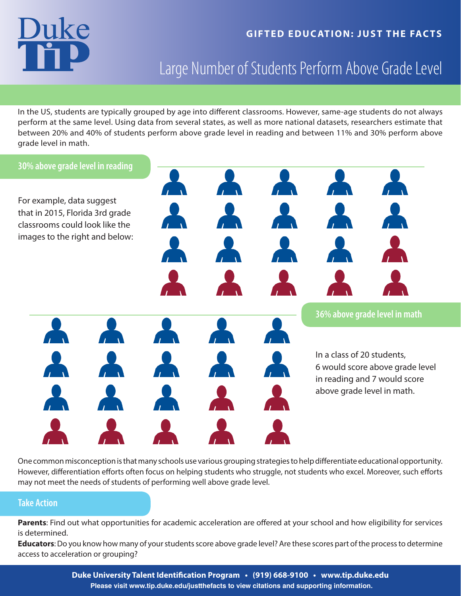### **GIFTED EDUCATION: JUST THE FACTS**

## Large Number of Students Perform Above Grade Level

In the US, students are typically grouped by age into different classrooms. However, same-age students do not always perform at the same level. Using data from several states, as well as more national datasets, researchers estimate that between 20% and 40% of students perform above grade level in reading and between 11% and 30% perform above grade level in math.



One common misconception is that many schools use various grouping strategies to help differentiate educational opportunity. However, differentiation efforts often focus on helping students who struggle, not students who excel. Moreover, such efforts may not meet the needs of students of performing well above grade level.

#### **Take Action**

**Parents**: Find out what opportunities for academic acceleration are offered at your school and how eligibility for services is determined.

**Educators**: Do you know how many of your students score above grade level? Are these scores part of the process to determine access to acceleration or grouping?